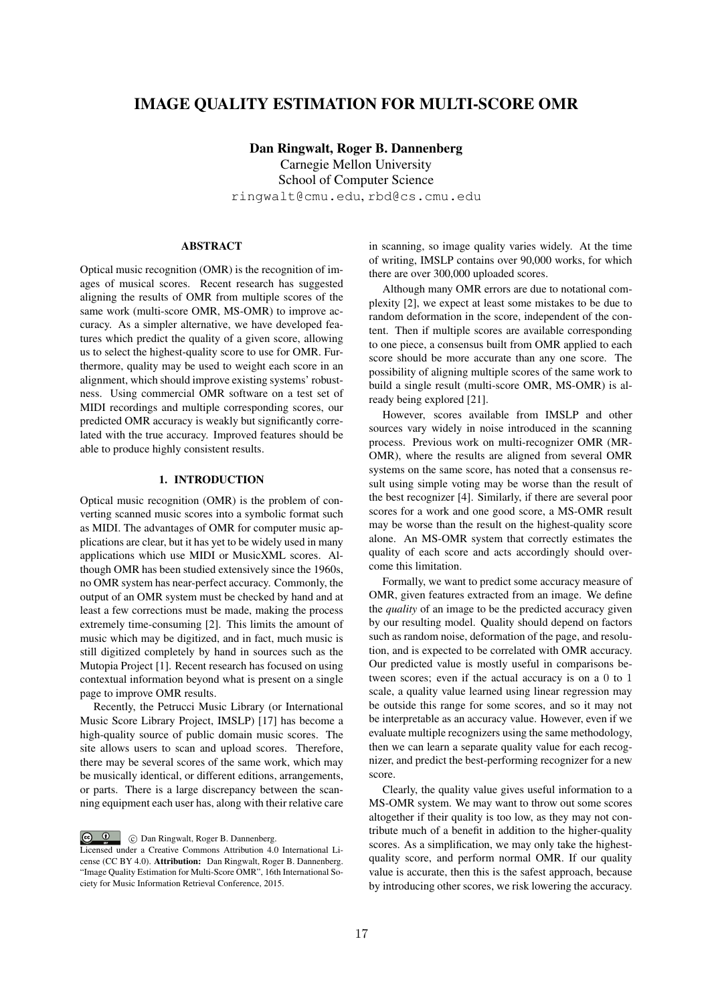# IMAGE QUALITY ESTIMATION FOR MULTI-SCORE OMR

Dan Ringwalt, Roger B. Dannenberg

Carnegie Mellon University School of Computer Science ringwalt@cmu.edu, rbd@cs.cmu.edu

## ABSTRACT

Optical music recognition (OMR) is the recognition of images of musical scores. Recent research has suggested aligning the results of OMR from multiple scores of the same work (multi-score OMR, MS-OMR) to improve accuracy. As a simpler alternative, we have developed features which predict the quality of a given score, allowing us to select the highest-quality score to use for OMR. Furthermore, quality may be used to weight each score in an alignment, which should improve existing systems' robustness. Using commercial OMR software on a test set of MIDI recordings and multiple corresponding scores, our predicted OMR accuracy is weakly but significantly correlated with the true accuracy. Improved features should be able to produce highly consistent results.

## 1. INTRODUCTION

Optical music recognition (OMR) is the problem of converting scanned music scores into a symbolic format such as MIDI. The advantages of OMR for computer music applications are clear, but it has yet to be widely used in many applications which use MIDI or MusicXML scores. Although OMR has been studied extensively since the 1960s, no OMR system has near-perfect accuracy. Commonly, the output of an OMR system must be checked by hand and at least a few corrections must be made, making the process extremely time-consuming [2]. This limits the amount of music which may be digitized, and in fact, much music is still digitized completely by hand in sources such as the Mutopia Project [1]. Recent research has focused on using contextual information beyond what is present on a single page to improve OMR results.

Recently, the Petrucci Music Library (or International Music Score Library Project, IMSLP) [17] has become a high-quality source of public domain music scores. The site allows users to scan and upload scores. Therefore, there may be several scores of the same work, which may be musically identical, or different editions, arrangements, or parts. There is a large discrepancy between the scanning equipment each user has, along with their relative care

C Dan Ringwalt, Roger B. Dannenberg.

in scanning, so image quality varies widely. At the time of writing, IMSLP contains over 90,000 works, for which there are over 300,000 uploaded scores.

Although many OMR errors are due to notational complexity [2], we expect at least some mistakes to be due to random deformation in the score, independent of the content. Then if multiple scores are available corresponding to one piece, a consensus built from OMR applied to each score should be more accurate than any one score. The possibility of aligning multiple scores of the same work to build a single result (multi-score OMR, MS-OMR) is already being explored [21].

However, scores available from IMSLP and other sources vary widely in noise introduced in the scanning process. Previous work on multi-recognizer OMR (MR-OMR), where the results are aligned from several OMR systems on the same score, has noted that a consensus result using simple voting may be worse than the result of the best recognizer [4]. Similarly, if there are several poor scores for a work and one good score, a MS-OMR result may be worse than the result on the highest-quality score alone. An MS-OMR system that correctly estimates the quality of each score and acts accordingly should overcome this limitation.

Formally, we want to predict some accuracy measure of OMR, given features extracted from an image. We define the *quality* of an image to be the predicted accuracy given by our resulting model. Quality should depend on factors such as random noise, deformation of the page, and resolution, and is expected to be correlated with OMR accuracy. Our predicted value is mostly useful in comparisons between scores; even if the actual accuracy is on a 0 to 1 scale, a quality value learned using linear regression may be outside this range for some scores, and so it may not be interpretable as an accuracy value. However, even if we evaluate multiple recognizers using the same methodology, then we can learn a separate quality value for each recognizer, and predict the best-performing recognizer for a new score.

Clearly, the quality value gives useful information to a MS-OMR system. We may want to throw out some scores altogether if their quality is too low, as they may not contribute much of a benefit in addition to the higher-quality scores. As a simplification, we may only take the highestquality score, and perform normal OMR. If our quality value is accurate, then this is the safest approach, because by introducing other scores, we risk lowering the accuracy.

Licensed under a Creative Commons Attribution 4.0 International License (CC BY 4.0). Attribution: Dan Ringwalt, Roger B. Dannenberg. "Image Quality Estimation for Multi-Score OMR", 16th International Society for Music Information Retrieval Conference, 2015.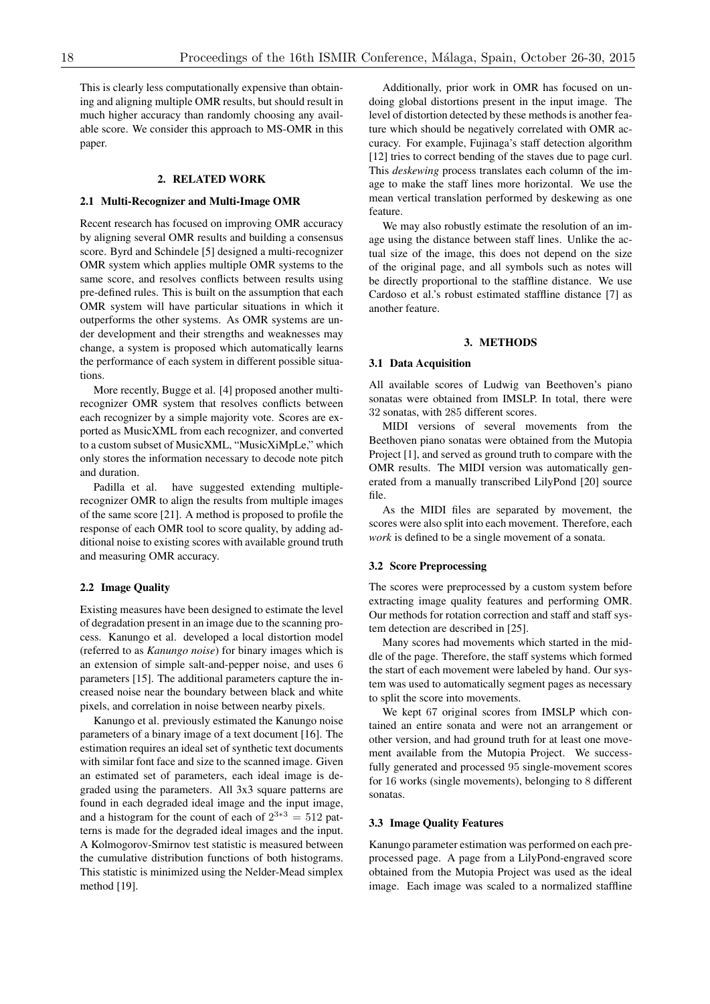This is clearly less computationally expensive than obtaining and aligning multiple OMR results, but should result in much higher accuracy than randomly choosing any available score. We consider this approach to MS-OMR in this paper.

## 2. RELATED WORK

### 2.1 Multi-Recognizer and Multi-Image OMR

Recent research has focused on improving OMR accuracy by aligning several OMR results and building a consensus score. Byrd and Schindele [5] designed a multi-recognizer OMR system which applies multiple OMR systems to the same score, and resolves conflicts between results using pre-defined rules. This is built on the assumption that each OMR system will have particular situations in which it outperforms the other systems. As OMR systems are under development and their strengths and weaknesses may change, a system is proposed which automatically learns the performance of each system in different possible situations.

More recently, Bugge et al. [4] proposed another multirecognizer OMR system that resolves conflicts between each recognizer by a simple majority vote. Scores are exported as MusicXML from each recognizer, and converted to a custom subset of MusicXML, "MusicXiMpLe," which only stores the information necessary to decode note pitch and duration.

Padilla et al. have suggested extending multiplerecognizer OMR to align the results from multiple images of the same score [21]. A method is proposed to profile the response of each OMR tool to score quality, by adding additional noise to existing scores with available ground truth and measuring OMR accuracy.

#### 2.2 Image Quality

Existing measures have been designed to estimate the level of degradation present in an image due to the scanning process. Kanungo et al. developed a local distortion model (referred to as *Kanungo noise*) for binary images which is an extension of simple salt-and-pepper noise, and uses 6 parameters [15]. The additional parameters capture the increased noise near the boundary between black and white pixels, and correlation in noise between nearby pixels.

Kanungo et al. previously estimated the Kanungo noise parameters of a binary image of a text document [16]. The estimation requires an ideal set of synthetic text documents with similar font face and size to the scanned image. Given an estimated set of parameters, each ideal image is degraded using the parameters. All 3x3 square patterns are found in each degraded ideal image and the input image, and a histogram for the count of each of  $2^{3*3} = 512$  patterns is made for the degraded ideal images and the input. A Kolmogorov-Smirnov test statistic is measured between the cumulative distribution functions of both histograms. This statistic is minimized using the Nelder-Mead simplex method [19].

Additionally, prior work in OMR has focused on undoing global distortions present in the input image. The level of distortion detected by these methods is another feature which should be negatively correlated with OMR accuracy. For example, Fujinaga's staff detection algorithm [12] tries to correct bending of the staves due to page curl. This *deskewing* process translates each column of the image to make the staff lines more horizontal. We use the mean vertical translation performed by deskewing as one feature.

We may also robustly estimate the resolution of an image using the distance between staff lines. Unlike the actual size of the image, this does not depend on the size of the original page, and all symbols such as notes will be directly proportional to the staffline distance. We use Cardoso et al.'s robust estimated staffline distance [7] as another feature.

## 3. METHODS

#### 3.1 Data Acquisition

All available scores of Ludwig van Beethoven's piano sonatas were obtained from IMSLP. In total, there were 32 sonatas, with 285 different scores.

MIDI versions of several movements from the Beethoven piano sonatas were obtained from the Mutopia Project [1], and served as ground truth to compare with the OMR results. The MIDI version was automatically generated from a manually transcribed LilyPond [20] source file.

As the MIDI files are separated by movement, the scores were also split into each movement. Therefore, each *work* is defined to be a single movement of a sonata.

## 3.2 Score Preprocessing

The scores were preprocessed by a custom system before extracting image quality features and performing OMR. Our methods for rotation correction and staff and staff system detection are described in [25].

Many scores had movements which started in the middle of the page. Therefore, the staff systems which formed the start of each movement were labeled by hand. Our system was used to automatically segment pages as necessary to split the score into movements.

We kept 67 original scores from IMSLP which contained an entire sonata and were not an arrangement or other version, and had ground truth for at least one movement available from the Mutopia Project. We successfully generated and processed 95 single-movement scores for 16 works (single movements), belonging to 8 different sonatas.

## 3.3 Image Quality Features

Kanungo parameter estimation was performed on each preprocessed page. A page from a LilyPond-engraved score obtained from the Mutopia Project was used as the ideal image. Each image was scaled to a normalized staffline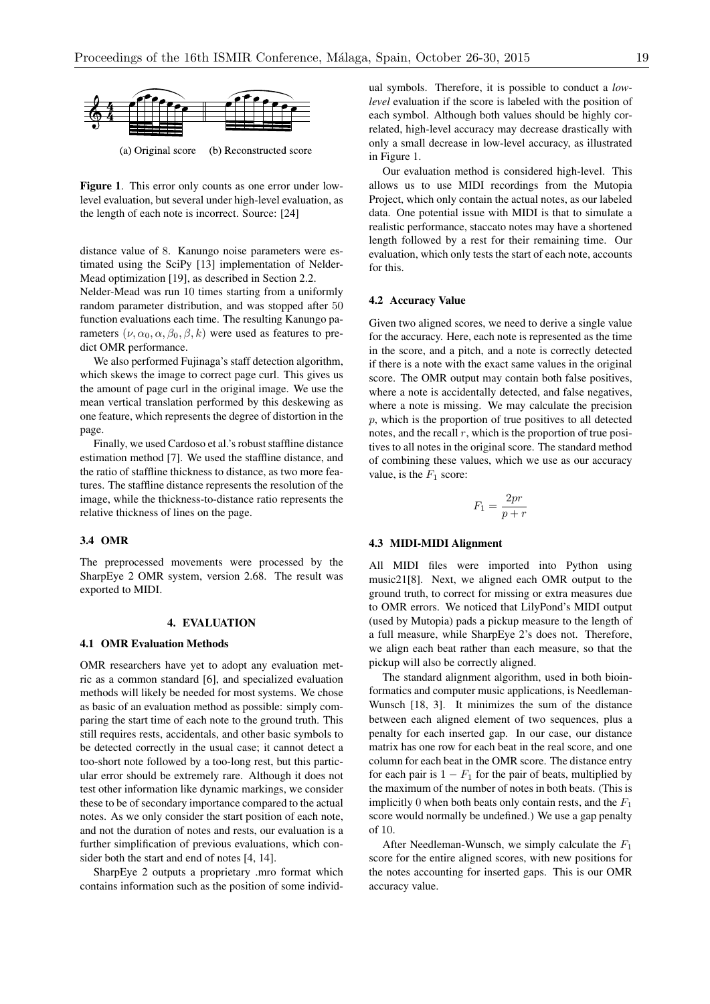

(a) Original score (b) Reconstructed score

Ievel evaluation, but several under high-level evaluation, as Project, which only contain the clear of seek note is incorrect. Several 1941 the length of each note is incorrect. Source: [24] data. One potential issue with the slut is a single state of the slut is a single state and the slut is a single state and the slut is a single state of the slut is a sing Figure 1. This error only counts as one error under low-

distance value of 8. Kanungo noise parameters were es-<br>evaluation which only tests the Mead optimization [19], as described in Section 2.2. timated using the SciPy [13] implementation of Nelder-

rameters ( $\nu, \alpha_0, \alpha, \beta_0, \beta, k$ ) were used as features to pre-<br>dict OMR performance. Nelder-Mead was run 10 times starting from a uniformly  $\frac{4.2 \text{ Accuracy Value}}{2.2 \text{ Accuracy Value}}$ random parameter distribution, and was stopped after 50 function evaluations each time. The resulting Kanungo padict OMR performance.

> We also performed Fujinaga's staff detection algorithm, which skews the image to correct page curl. This gives us the amount of page curl in the original image. We use the mean vertical translation performed by this deskewing as one feature, which represents the degree of distortion in the page.

> Finally, we used Cardoso et al.'s robust staffline distance estimation method [7]. We used the staffline distance, and the ratio of staffline thickness to distance, as two more features. The staffline distance represents the resolution of the image, while the thickness-to-distance ratio represents the relative thickness of lines on the page.

### 3.4 OMR

Now consider Figure 12 (from Reed, 1995, p. 73).

The preprocessed movements were processed by the SharpEye 2 OMR system, version 2.68. The result was exported to MIDI.

## 4. EVALUATION

#### 4.1 OMR Evaluation Methods

OMR researchers have yet to adopt any evaluation metric as a common standard [6], and specialized evaluation methods will likely be needed for most systems. We chose as basic of an evaluation method as possible: simply comparing the start time of each note to the ground truth. This still requires rests, accidentals, and other basic symbols to be detected correctly in the usual case; it cannot detect a too-short note followed by a too-long rest, but this particular error should be extremely rare. Although it does not test other information like dynamic markings, we consider these to be of secondary importance compared to the actual notes. As we only consider the start position of each note, and not the duration of notes and rests, our evaluation is a further simplification of previous evaluations, which consider both the start and end of notes [4, 14].

SharpEye 2 outputs a proprietary .mro format which contains information such as the position of some individual symbols. Therefore, it is possible to conduct a *lowlevel* evaluation if the score is labeled with the position of each symbol. Although both values should be highly correlated, high-level accuracy may decrease drastically with only a small decrease in low-level accuracy, as illustrated in Figure 1.

**Figure 12. A minor problem at low level, but a serious problem at low level, but a serious problem at high level** standard performance, stated notes may have a shortched<br>length followed by a rest for their remaining time. Our Our evaluation method is considered high-level. This allows us to use MIDI recordings from the Mutopia Project, which only contain the actual notes, as our labeled data. One potential issue with MIDI is that to simulate a realistic performance, staccato notes may have a shortened evaluation, which only tests the start of each note, accounts for this.

#### 4.2 Accuracy Value

Given two aligned scores, we need to derive a single value for the accuracy. Here, each note is represented as the time in the score, and a pitch, and a note is correctly detected if there is a note with the exact same values in the original score. The OMR output may contain both false positives, where a note is accidentally detected, and false negatives, where a note is missing. We may calculate the precision *p*, which is the proportion of true positives to all detected notes, and the recall *r*, which is the proportion of true positives to all notes in the original score. The standard method of combining these values, which we use as our accuracy value, is the  $F_1$  score:

$$
F_1 = \frac{2pr}{p+r}
$$

#### 4.3 MIDI-MIDI Alignment

All MIDI files were imported into Python using music21[8]. Next, we aligned each OMR output to the ground truth, to correct for missing or extra measures due to OMR errors. We noticed that LilyPond's MIDI output (used by Mutopia) pads a pickup measure to the length of a full measure, while SharpEye 2's does not. Therefore, we align each beat rather than each measure, so that the pickup will also be correctly aligned.

The standard alignment algorithm, used in both bioinformatics and computer music applications, is Needleman-Wunsch [18, 3]. It minimizes the sum of the distance between each aligned element of two sequences, plus a penalty for each inserted gap. In our case, our distance matrix has one row for each beat in the real score, and one column for each beat in the OMR score. The distance entry for each pair is  $1 - F_1$  for the pair of beats, multiplied by the maximum of the number of notes in both beats. (This is implicitly 0 when both beats only contain rests, and the *F*<sup>1</sup> score would normally be undefined.) We use a gap penalty of 10.

After Needleman-Wunsch, we simply calculate the *F*<sup>1</sup> score for the entire aligned scores, with new positions for the notes accounting for inserted gaps. This is our OMR accuracy value.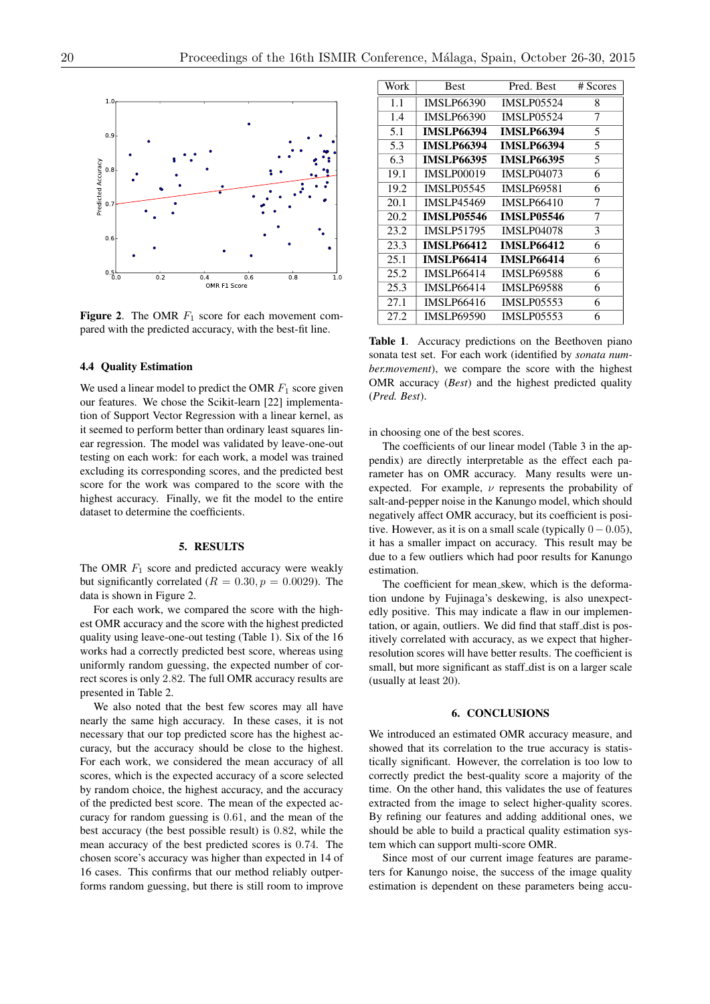

Figure 2. The OMR  $F_1$  score for each movement compared with the predicted accuracy, with the best-fit line.

#### 4.4 Quality Estimation

We used a linear model to predict the OMR  $F_1$  score given our features. We chose the Scikit-learn [22] implementation of Support Vector Regression with a linear kernel, as it seemed to perform better than ordinary least squares linear regression. The model was validated by leave-one-out testing on each work: for each work, a model was trained excluding its corresponding scores, and the predicted best score for the work was compared to the score with the highest accuracy. Finally, we fit the model to the entire dataset to determine the coefficients.

## 5. RESULTS

The OMR  $F_1$  score and predicted accuracy were weakly but significantly correlated  $(R = 0.30, p = 0.0029)$ . The data is shown in Figure 2.

For each work, we compared the score with the highest OMR accuracy and the score with the highest predicted quality using leave-one-out testing (Table 1). Six of the 16 works had a correctly predicted best score, whereas using uniformly random guessing, the expected number of correct scores is only 2*.*82. The full OMR accuracy results are presented in Table 2.

We also noted that the best few scores may all have nearly the same high accuracy. In these cases, it is not necessary that our top predicted score has the highest accuracy, but the accuracy should be close to the highest. For each work, we considered the mean accuracy of all scores, which is the expected accuracy of a score selected by random choice, the highest accuracy, and the accuracy of the predicted best score. The mean of the expected accuracy for random guessing is 0*.*61, and the mean of the best accuracy (the best possible result) is 0*.*82, while the mean accuracy of the best predicted scores is 0*.*74. The chosen score's accuracy was higher than expected in 14 of 16 cases. This confirms that our method reliably outperforms random guessing, but there is still room to improve

| Work | <b>Best</b>       | Pred. Best        | # Scores |
|------|-------------------|-------------------|----------|
| 1.1  | <b>IMSLP66390</b> | <b>IMSLP05524</b> | 8        |
| 1.4  | <b>IMSLP66390</b> | <b>IMSLP05524</b> | 7        |
| 5.1  | <b>IMSLP66394</b> | <b>IMSLP66394</b> | 5        |
| 5.3  | <b>IMSLP66394</b> | <b>IMSLP66394</b> | 5        |
| 6.3  | <b>IMSLP66395</b> | <b>IMSLP66395</b> | 5        |
| 19.1 | <b>IMSLP00019</b> | <b>IMSLP04073</b> | 6        |
| 19.2 | <b>IMSLP05545</b> | <b>IMSLP69581</b> | 6        |
| 20.1 | <b>IMSLP45469</b> | <b>IMSLP66410</b> | 7        |
| 20.2 | <b>IMSLP05546</b> | <b>IMSLP05546</b> | 7        |
| 23.2 | <b>IMSLP51795</b> | <b>IMSLP04078</b> | 3        |
| 23.3 | <b>IMSLP66412</b> | <b>IMSLP66412</b> | 6        |
| 25.1 | <b>IMSLP66414</b> | <b>IMSLP66414</b> | 6        |
| 25.2 | <b>IMSLP66414</b> | <b>IMSLP69588</b> | 6        |
| 25.3 | <b>IMSLP66414</b> | <b>IMSLP69588</b> | 6        |
| 27.1 | IMSLP66416        | <b>IMSLP05553</b> | 6        |
| 27.2 | <b>IMSLP69590</b> | <b>IMSLP05553</b> | 6        |

Table 1. Accuracy predictions on the Beethoven piano sonata test set. For each work (identified by *sonata number.movement*), we compare the score with the highest OMR accuracy (*Best*) and the highest predicted quality (*Pred. Best*).

in choosing one of the best scores.

The coefficients of our linear model (Table 3 in the appendix) are directly interpretable as the effect each parameter has on OMR accuracy. Many results were unexpected. For example,  $\nu$  represents the probability of salt-and-pepper noise in the Kanungo model, which should negatively affect OMR accuracy, but its coefficient is positive. However, as it is on a small scale (typically  $0-0.05$ ), it has a smaller impact on accuracy. This result may be due to a few outliers which had poor results for Kanungo estimation.

The coefficient for mean skew, which is the deformation undone by Fujinaga's deskewing, is also unexpectedly positive. This may indicate a flaw in our implementation, or again, outliers. We did find that staff dist is positively correlated with accuracy, as we expect that higherresolution scores will have better results. The coefficient is small, but more significant as staff\_dist is on a larger scale (usually at least 20).

## 6. CONCLUSIONS

We introduced an estimated OMR accuracy measure, and showed that its correlation to the true accuracy is statistically significant. However, the correlation is too low to correctly predict the best-quality score a majority of the time. On the other hand, this validates the use of features extracted from the image to select higher-quality scores. By refining our features and adding additional ones, we should be able to build a practical quality estimation system which can support multi-score OMR.

Since most of our current image features are parameters for Kanungo noise, the success of the image quality estimation is dependent on these parameters being accu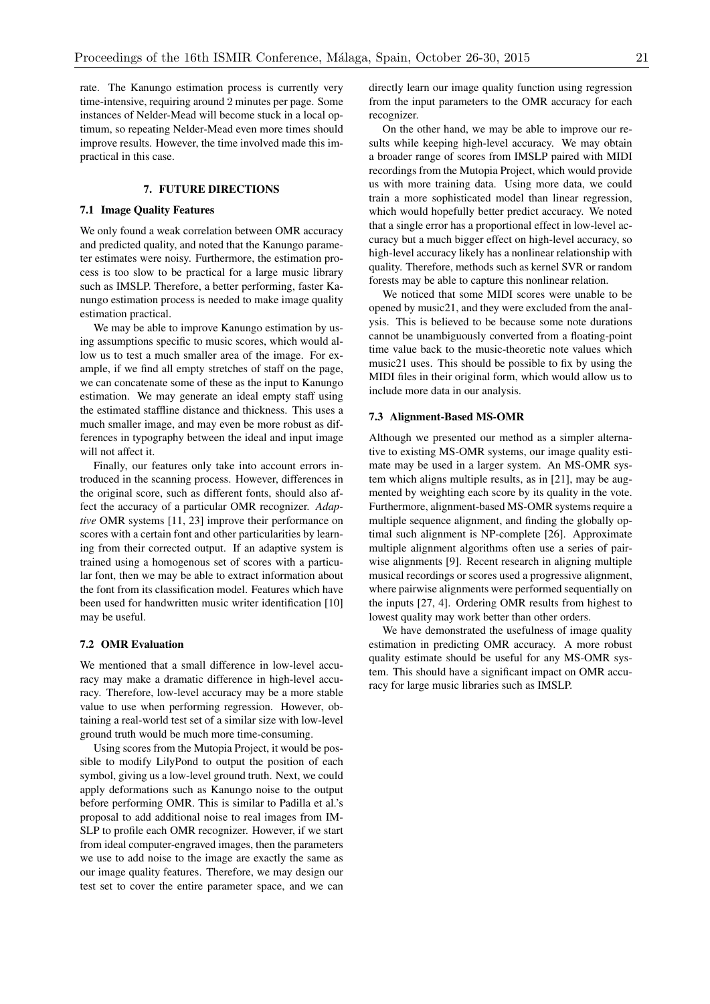rate. The Kanungo estimation process is currently very time-intensive, requiring around 2 minutes per page. Some instances of Nelder-Mead will become stuck in a local optimum, so repeating Nelder-Mead even more times should improve results. However, the time involved made this impractical in this case.

## 7. FUTURE DIRECTIONS

#### 7.1 Image Quality Features

We only found a weak correlation between OMR accuracy and predicted quality, and noted that the Kanungo parameter estimates were noisy. Furthermore, the estimation process is too slow to be practical for a large music library such as IMSLP. Therefore, a better performing, faster Kanungo estimation process is needed to make image quality estimation practical.

We may be able to improve Kanungo estimation by using assumptions specific to music scores, which would allow us to test a much smaller area of the image. For example, if we find all empty stretches of staff on the page, we can concatenate some of these as the input to Kanungo estimation. We may generate an ideal empty staff using the estimated staffline distance and thickness. This uses a much smaller image, and may even be more robust as differences in typography between the ideal and input image will not affect it.

Finally, our features only take into account errors introduced in the scanning process. However, differences in the original score, such as different fonts, should also affect the accuracy of a particular OMR recognizer. *Adaptive* OMR systems [11, 23] improve their performance on scores with a certain font and other particularities by learning from their corrected output. If an adaptive system is trained using a homogenous set of scores with a particular font, then we may be able to extract information about the font from its classification model. Features which have been used for handwritten music writer identification [10] may be useful.

## 7.2 OMR Evaluation

We mentioned that a small difference in low-level accuracy may make a dramatic difference in high-level accuracy. Therefore, low-level accuracy may be a more stable value to use when performing regression. However, obtaining a real-world test set of a similar size with low-level ground truth would be much more time-consuming.

Using scores from the Mutopia Project, it would be possible to modify LilyPond to output the position of each symbol, giving us a low-level ground truth. Next, we could apply deformations such as Kanungo noise to the output before performing OMR. This is similar to Padilla et al.'s proposal to add additional noise to real images from IM-SLP to profile each OMR recognizer. However, if we start from ideal computer-engraved images, then the parameters we use to add noise to the image are exactly the same as our image quality features. Therefore, we may design our test set to cover the entire parameter space, and we can

directly learn our image quality function using regression from the input parameters to the OMR accuracy for each recognizer.

On the other hand, we may be able to improve our results while keeping high-level accuracy. We may obtain a broader range of scores from IMSLP paired with MIDI recordings from the Mutopia Project, which would provide us with more training data. Using more data, we could train a more sophisticated model than linear regression, which would hopefully better predict accuracy. We noted that a single error has a proportional effect in low-level accuracy but a much bigger effect on high-level accuracy, so high-level accuracy likely has a nonlinear relationship with quality. Therefore, methods such as kernel SVR or random forests may be able to capture this nonlinear relation.

We noticed that some MIDI scores were unable to be opened by music21, and they were excluded from the analysis. This is believed to be because some note durations cannot be unambiguously converted from a floating-point time value back to the music-theoretic note values which music21 uses. This should be possible to fix by using the MIDI files in their original form, which would allow us to include more data in our analysis.

#### 7.3 Alignment-Based MS-OMR

Although we presented our method as a simpler alternative to existing MS-OMR systems, our image quality estimate may be used in a larger system. An MS-OMR system which aligns multiple results, as in [21], may be augmented by weighting each score by its quality in the vote. Furthermore, alignment-based MS-OMR systems require a multiple sequence alignment, and finding the globally optimal such alignment is NP-complete [26]. Approximate multiple alignment algorithms often use a series of pairwise alignments [9]. Recent research in aligning multiple musical recordings or scores used a progressive alignment, where pairwise alignments were performed sequentially on the inputs [27, 4]. Ordering OMR results from highest to lowest quality may work better than other orders.

We have demonstrated the usefulness of image quality estimation in predicting OMR accuracy. A more robust quality estimate should be useful for any MS-OMR system. This should have a significant impact on OMR accuracy for large music libraries such as IMSLP.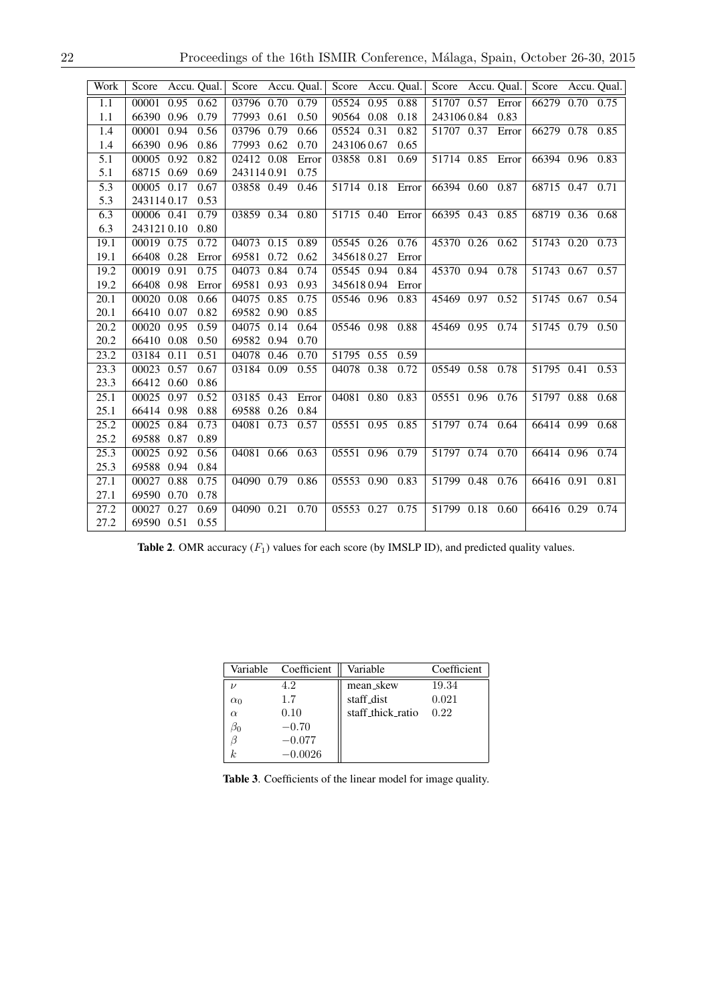| Work              | Score      |      | Accu. Qual. | Score           |      | Accu. Qual. | Score                                                  |      | Accu. Qual. | Score Accu. Qual. |      |                   | Score      | Accu. Qual. |
|-------------------|------------|------|-------------|-----------------|------|-------------|--------------------------------------------------------|------|-------------|-------------------|------|-------------------|------------|-------------|
| 1.1               | 00001      | 0.95 | 0.62        | 03796           | 0.70 | 0.79        | 05524                                                  | 0.95 | 0.88        | 51707 0.57        |      | Error             | 66279 0.70 | 0.75        |
| 1.1               | 66390 0.96 |      | 0.79        | 77993           | 0.61 | 0.50        | 90564                                                  | 0.08 | 0.18        | 2431060.84        |      | 0.83              |            |             |
| 1.4               | 00001      | 0.94 | 0.56        | 03796           | 0.79 | 0.66        | 05524 0.31                                             |      | 0.82        | 51707 0.37        |      | Error             | 66279 0.78 | 0.85        |
| 1.4               | 66390 0.96 |      | 0.86        | 77993           | 0.62 | 0.70        | 2431060.67                                             |      | 0.65        |                   |      |                   |            |             |
| 5.1               | 00005      | 0.92 | 0.82        | 02412           | 0.08 | Error       | 03858 0.81                                             |      | 0.69        | 51714 0.85        |      | Error             | 66394 0.96 | 0.83        |
| 5.1               | 68715 0.69 |      | 0.69        | 2431140.91      |      | 0.75        |                                                        |      |             |                   |      |                   |            |             |
| 5.3               | 00005 0.17 |      | 0.67        | 03858 0.49      |      | 0.46        | 51714 0.18 Error                                       |      |             | 66394 0.60        |      | 0.87              | 68715 0.47 | 0.71        |
| 5.3               | 2431140.17 |      | 0.53        |                 |      |             |                                                        |      |             |                   |      |                   |            |             |
| 6.3               | 00006 0.41 |      | 0.79        | 03859 0.34      |      | 0.80        | 51715 0.40                                             |      | Error       | 66395 0.43        |      | 0.85              | 68719 0.36 | 0.68        |
| 6.3               | 2431210.10 |      | 0.80        |                 |      |             |                                                        |      |             |                   |      |                   |            |             |
| 19.1              | 00019 0.75 |      | 0.72        | 04073 0.15      |      | 0.89        | 05545 0.26                                             |      | 0.76        | 45370 0.26 0.62   |      |                   | 51743 0.20 | 0.73        |
| 19.1              | 66408 0.28 |      | Error       | 69581           | 0.72 | 0.62        | 3456180.27                                             |      | Error       |                   |      |                   |            |             |
| 19.2              | 00019      | 0.91 | 0.75        | 04073           | 0.84 | 0.74        | 05545 0.94                                             |      | 0.84        | 45370 0.94 0.78   |      |                   | 51743 0.67 | 0.57        |
| 19.2              | 66408      | 0.98 | Error       | 69581           | 0.93 | 0.93        | 3456180.94                                             |      | Error       |                   |      |                   |            |             |
| 20.1              | 00020      | 0.08 | 0.66        | 04075           | 0.85 | 0.75        | 05546 0.96                                             |      | 0.83        | 45469 0.97        |      | 0.52              | 51745 0.67 | 0.54        |
| 20.1              | 66410 0.07 |      | 0.82        | 69582 0.90      |      | 0.85        |                                                        |      |             |                   |      |                   |            |             |
| 20.2              | 00020      | 0.95 | 0.59        | 04075           | 0.14 | 0.64        | 05546 0.98                                             |      | 0.88        | 45469 0.95 0.74   |      |                   | 51745 0.79 | 0.50        |
| 20.2              | 66410 0.08 |      | 0.50        | 69582           | 0.94 | 0.70        |                                                        |      |             |                   |      |                   |            |             |
| 23.2              | 03184      | 0.11 | 0.51        | 04078           | 0.46 | 0.70        | 51795 0.55                                             |      | 0.59        |                   |      |                   |            |             |
| 23.3              | 00023      | 0.57 | 0.67        | 03184           | 0.09 | 0.55        | 04078                                                  | 0.38 | 0.72        | 05549 0.58        |      | 0.78              | 51795 0.41 | 0.53        |
| 23.3              | 66412 0.60 |      | 0.86        |                 |      |             |                                                        |      |             |                   |      |                   |            |             |
| 25.1              | 00025      | 0.97 | 0.52        | 03185 0.43      |      | Error       | 04081 0.80                                             |      | 0.83        | 05551 0.96        |      | $\overline{0.76}$ | 51797 0.88 | 0.68        |
| 25.1              | 66414 0.98 |      | 0.88        | 69588 0.26      |      | 0.84        |                                                        |      |             |                   |      |                   |            |             |
| 25.2              | 00025      | 0.84 | 0.73        | 04081 0.73      |      | 0.57        | 05551 0.95 0.85                                        |      |             | 51797 0.74        |      | 0.64              | 66414 0.99 | 0.68        |
| 25.2              | 69588 0.87 |      | 0.89        |                 |      |             |                                                        |      |             |                   |      |                   |            |             |
| $\overline{25.3}$ | 00025      | 0.92 | 0.56        | 04081 0.66 0.63 |      |             | $\overline{05551}$ $\overline{0.96}$ $\overline{0.79}$ |      |             | 51797 0.74 0.70   |      |                   | 66414 0.96 | 0.74        |
| 25.3              | 69588      | 0.94 | 0.84        |                 |      |             |                                                        |      |             |                   |      |                   |            |             |
| 27.1              | 00027      | 0.88 | 0.75        | 04090 0.79 0.86 |      |             | 05553 0.90                                             |      | 0.83        | 51799 0.48        |      | 0.76              | 66416 0.91 | 0.81        |
| 27.1              | 69590 0.70 |      | 0.78        |                 |      |             |                                                        |      |             |                   |      |                   |            |             |
| 27.2              | 00027      | 0.27 | 0.69        | 04090 0.21      |      | 0.70        | 05553 0.27                                             |      | 0.75        | 51799             | 0.18 | 0.60              | 66416 0.29 | 0.74        |
| 27.2              | 69590 0.51 |      | 0.55        |                 |      |             |                                                        |      |             |                   |      |                   |            |             |

Table 2. OMR accuracy  $(F_1)$  values for each score (by IMSLP ID), and predicted quality values.

|            | Variable Coefficient | Variable          | Coefficient |
|------------|----------------------|-------------------|-------------|
|            | 4.2                  | mean_skew         | 19.34       |
| $\alpha_0$ | 1.7                  | staff_dist        | 0.021       |
| $\alpha$   | 0.10                 | staff thick ratio | 0.22        |
|            | $-0.70$              |                   |             |
|            | $-0.077$             |                   |             |
|            | $-0.0026$            |                   |             |

Table 3. Coefficients of the linear model for image quality.